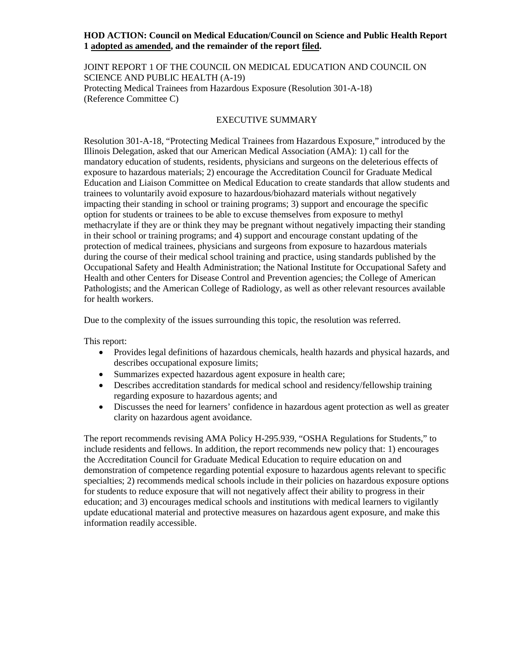## **HOD ACTION: Council on Medical Education/Council on Science and Public Health Report 1 adopted as amended, and the remainder of the report filed.**

JOINT REPORT 1 OF THE COUNCIL ON MEDICAL EDUCATION AND COUNCIL ON SCIENCE AND PUBLIC HEALTH (A-19) Protecting Medical Trainees from Hazardous Exposure (Resolution 301-A-18) (Reference Committee C)

# EXECUTIVE SUMMARY

Resolution 301-A-18, "Protecting Medical Trainees from Hazardous Exposure," introduced by the Illinois Delegation, asked that our American Medical Association (AMA): 1) call for the mandatory education of students, residents, physicians and surgeons on the deleterious effects of exposure to hazardous materials; 2) encourage the Accreditation Council for Graduate Medical Education and Liaison Committee on Medical Education to create standards that allow students and trainees to voluntarily avoid exposure to hazardous/biohazard materials without negatively impacting their standing in school or training programs; 3) support and encourage the specific option for students or trainees to be able to excuse themselves from exposure to methyl methacrylate if they are or think they may be pregnant without negatively impacting their standing in their school or training programs; and 4) support and encourage constant updating of the protection of medical trainees, physicians and surgeons from exposure to hazardous materials during the course of their medical school training and practice, using standards published by the Occupational Safety and Health Administration; the National Institute for Occupational Safety and Health and other Centers for Disease Control and Prevention agencies; the College of American Pathologists; and the American College of Radiology, as well as other relevant resources available for health workers.

Due to the complexity of the issues surrounding this topic, the resolution was referred.

This report:

- Provides legal definitions of hazardous chemicals, health hazards and physical hazards, and describes occupational exposure limits;
- Summarizes expected hazardous agent exposure in health care;
- Describes accreditation standards for medical school and residency/fellowship training regarding exposure to hazardous agents; and
- Discusses the need for learners' confidence in hazardous agent protection as well as greater clarity on hazardous agent avoidance.

The report recommends revising AMA Policy H-295.939, "OSHA Regulations for Students," to include residents and fellows. In addition, the report recommends new policy that: 1) encourages the Accreditation Council for Graduate Medical Education to require education on and demonstration of competence regarding potential exposure to hazardous agents relevant to specific specialties; 2) recommends medical schools include in their policies on hazardous exposure options for students to reduce exposure that will not negatively affect their ability to progress in their education; and 3) encourages medical schools and institutions with medical learners to vigilantly update educational material and protective measures on hazardous agent exposure, and make this information readily accessible.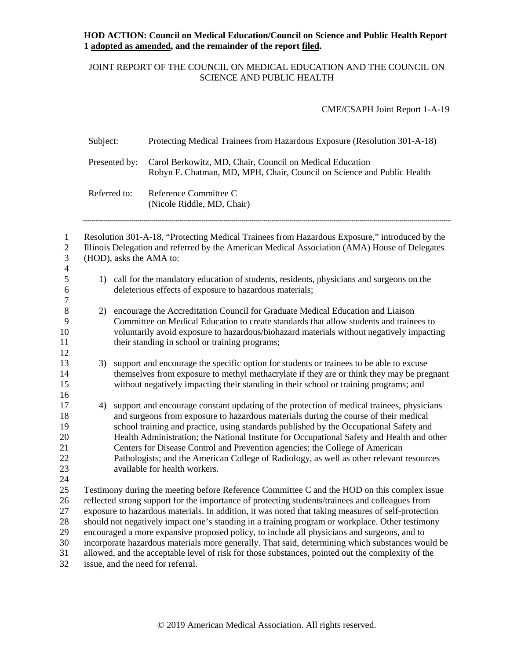# JOINT REPORT OF THE COUNCIL ON MEDICAL EDUCATION AND THE COUNCIL ON SCIENCE AND PUBLIC HEALTH

CME/CSAPH Joint Report 1-A-19

| Subject:      | Protecting Medical Trainees from Hazardous Exposure (Resolution 301-A-18)                                                          |
|---------------|------------------------------------------------------------------------------------------------------------------------------------|
| Presented by: | Carol Berkowitz, MD, Chair, Council on Medical Education<br>Robyn F. Chatman, MD, MPH, Chair, Council on Science and Public Health |
| Referred to:  | Reference Committee C<br>(Nicole Riddle, MD, Chair)                                                                                |

| $\mathbf{1}$<br>$\mathbf{2}$ |    | Resolution 301-A-18, "Protecting Medical Trainees from Hazardous Exposure," introduced by the<br>Illinois Delegation and referred by the American Medical Association (AMA) House of Delegates |
|------------------------------|----|------------------------------------------------------------------------------------------------------------------------------------------------------------------------------------------------|
| $\mathfrak{Z}$               |    | (HOD), asks the AMA to:                                                                                                                                                                        |
| $\overline{4}$               |    |                                                                                                                                                                                                |
| 5                            |    | 1) call for the mandatory education of students, residents, physicians and surgeons on the                                                                                                     |
| 6                            |    | deleterious effects of exposure to hazardous materials;                                                                                                                                        |
| $\tau$                       |    |                                                                                                                                                                                                |
| $\,8\,$                      | 2) | encourage the Accreditation Council for Graduate Medical Education and Liaison                                                                                                                 |
| 9                            |    | Committee on Medical Education to create standards that allow students and trainees to                                                                                                         |
| 10                           |    | voluntarily avoid exposure to hazardous/biohazard materials without negatively impacting                                                                                                       |
| 11                           |    | their standing in school or training programs;                                                                                                                                                 |
| 12                           |    |                                                                                                                                                                                                |
| 13                           | 3) | support and encourage the specific option for students or trainees to be able to excuse                                                                                                        |
| 14                           |    | themselves from exposure to methyl methacrylate if they are or think they may be pregnant                                                                                                      |
| 15                           |    | without negatively impacting their standing in their school or training programs; and                                                                                                          |
| 16                           |    |                                                                                                                                                                                                |
| 17                           | 4) | support and encourage constant updating of the protection of medical trainees, physicians                                                                                                      |
| 18<br>19                     |    | and surgeons from exposure to hazardous materials during the course of their medical                                                                                                           |
| 20                           |    | school training and practice, using standards published by the Occupational Safety and<br>Health Administration; the National Institute for Occupational Safety and Health and other           |
| 21                           |    | Centers for Disease Control and Prevention agencies; the College of American                                                                                                                   |
| 22                           |    | Pathologists; and the American College of Radiology, as well as other relevant resources                                                                                                       |
| 23                           |    | available for health workers.                                                                                                                                                                  |
| 24                           |    |                                                                                                                                                                                                |
| 25                           |    | Testimony during the meeting before Reference Committee C and the HOD on this complex issue                                                                                                    |
| 26                           |    | reflected strong support for the importance of protecting students/trainees and colleagues from                                                                                                |
| 27                           |    | exposure to hazardous materials. In addition, it was noted that taking measures of self-protection                                                                                             |
| 28                           |    | should not negatively impact one's standing in a training program or workplace. Other testimony                                                                                                |
| 29                           |    | encouraged a more expansive proposed policy, to include all physicians and surgeons, and to                                                                                                    |
| 30                           |    | incorporate hazardous materials more generally. That said, determining which substances would be                                                                                               |
| 31                           |    | allowed, and the acceptable level of risk for those substances, pointed out the complexity of the                                                                                              |
| 32                           |    | issue, and the need for referral.                                                                                                                                                              |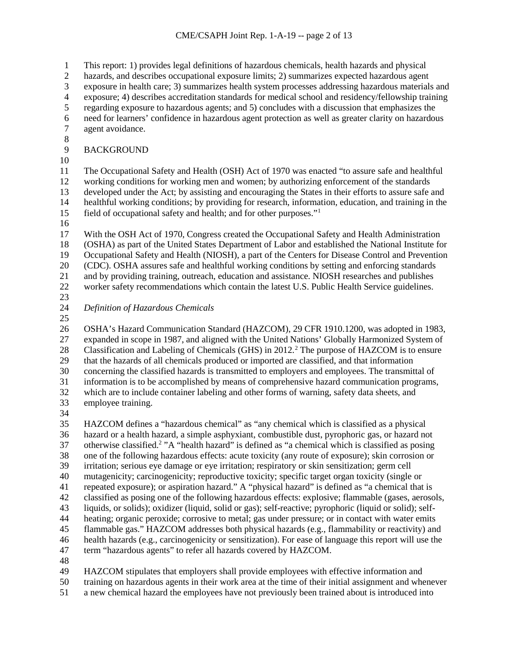1 This report: 1) provides legal definitions of hazardous chemicals, health hazards and physical<br>2 hazards, and describes occupational exposure limits; 2) summarizes expected hazardous agent hazards, and describes occupational exposure limits; 2) summarizes expected hazardous agent exposure in health care; 3) summarizes health system processes addressing hazardous materials and 4 exposure; 4) describes accreditation standards for medical school and residency/fellowship training<br>5 regarding exposure to hazardous agents; and 5) concludes with a discussion that emphasizes the regarding exposure to hazardous agents; and 5) concludes with a discussion that emphasizes the need for learners' confidence in hazardous agent protection as well as greater clarity on hazardous agent avoidance.  $\begin{array}{c} 8 \\ 9 \end{array}$ **BACKGROUND**  The Occupational Safety and Health (OSH) Act of 1970 was enacted "to assure safe and healthful working conditions for working men and women; by authorizing enforcement of the standards developed under the Act; by assisting and encouraging the States in their efforts to assure safe and healthful working conditions; by providing for research, information, education, and training in the 5 field of occupational safety and health; and for other purposes."<sup>1</sup> With the OSH Act of 1970, Congress created the Occupational Safety and Health Administration (OSHA) as part of the United States Department of Labor and established the National Institute for Occupational Safety and Health (NIOSH), a part of the Centers for Disease Control and Prevention (CDC). OSHA assures safe and healthful working conditions by setting and enforcing standards and by providing training, outreach, education and assistance. NIOSH researches and publishes worker safety recommendations which contain the latest U.S. Public Health Service guidelines.  $\frac{23}{24}$  *Definition of Hazardous Chemicals* OSHA's Hazard Communication Standard (HAZCOM), 29 CFR 1910.1200, was adopted in 1983, expanded in scope in 1987, and aligned with the United Nations' Globally Harmonized System of 8 Classification and Labeling of Chemicals (GHS) in 2012.<sup>2</sup> The purpose of HAZCOM is to ensure that the hazards of all chemicals produced or imported are classified, and that information concerning the classified hazards is transmitted to employers and employees. The transmittal of information is to be accomplished by means of comprehensive hazard communication programs, which are to include container labeling and other forms of warning, safety data sheets, and employee training.

 HAZCOM defines a "hazardous chemical" as "any chemical which is classified as a physical hazard or a health hazard, a simple asphyxiant, combustible dust, pyrophoric gas, or hazard not 37 otherwise classified.<sup>2</sup> "A "health hazard" is defined as "a chemical which is classified as posing one of the following hazardous effects: acute toxicity (any route of exposure); skin corrosion or irritation; serious eye damage or eye irritation; respiratory or skin sensitization; germ cell mutagenicity; carcinogenicity; reproductive toxicity; specific target organ toxicity (single or repeated exposure); or aspiration hazard." A "physical hazard" is defined as "a chemical that is classified as posing one of the following hazardous effects: explosive; flammable (gases, aerosols, liquids, or solids); oxidizer (liquid, solid or gas); self-reactive; pyrophoric (liquid or solid); self- heating; organic peroxide; corrosive to metal; gas under pressure; or in contact with water emits flammable gas." HAZCOM addresses both physical hazards (e.g., flammability or reactivity) and health hazards (e.g., carcinogenicity or sensitization). For ease of language this report will use the term "hazardous agents" to refer all hazards covered by HAZCOM. 

 HAZCOM stipulates that employers shall provide employees with effective information and training on hazardous agents in their work area at the time of their initial assignment and whenever

a new chemical hazard the employees have not previously been trained about is introduced into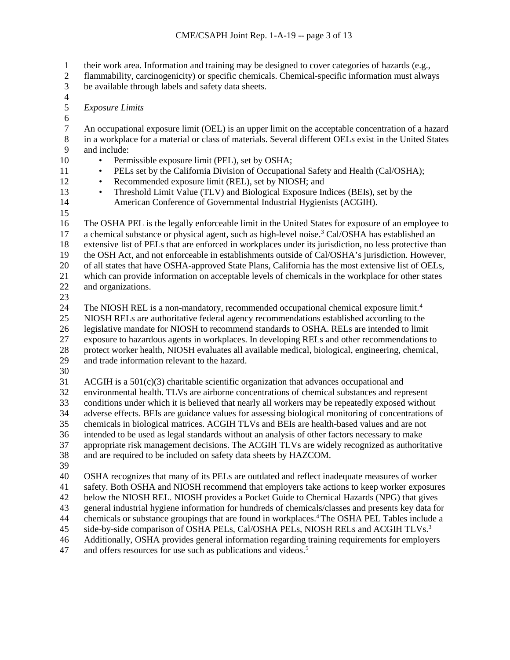- 1 their work area. Information and training may be designed to cover categories of hazards (e.g., flammability, carcinogenicity) or specific chemicals. Chemical-specific information must alwa
- flammability, carcinogenicity) or specific chemicals. Chemical-specific information must always
- be available through labels and safety data sheets.
- <span id="page-3-1"></span><span id="page-3-0"></span> $\frac{4}{5}$
- *Exposure Limits*
- 6<br>7

<span id="page-3-2"></span> An occupational exposure limit (OEL) is an upper limit on the acceptable concentration of a hazard in a workplace for a material or class of materials. Several different OELs exist in the United States and include:

- Permissible exposure limit (PEL), set by OSHA;
- <span id="page-3-3"></span>11 • PELs set by the California Division of Occupational Safety and Health (Cal/OSHA);
- Recommended exposure limit (REL), set by NIOSH; and
- <span id="page-3-4"></span> • Threshold Limit Value (TLV) and Biological Exposure Indices (BEIs), set by the American Conference of Governmental Industrial Hygienists (ACGIH).
- 

<span id="page-3-6"></span><span id="page-3-5"></span> The OSHA PEL is the legally enforceable limit in the United States for exposure of an employee to 17 a chemical substance or physical agent, such as high-level noise.<sup>[3](#page-3-2)</sup> Cal/OSHA has established an extensive list of PELs that are enforced in workplaces under its jurisdiction, no less protective than the OSH Act, and not enforceable in establishments outside of Cal/OSHA's jurisdiction. However, of all states that have OSHA-approved State Plans, California has the most extensive list of OELs, which can provide information on acceptable levels of chemicals in the workplace for other states and organizations.

<span id="page-3-7"></span> $\frac{23}{24}$ 

<span id="page-3-8"></span>The NIOSH REL is a non-mandatory, recommended occupational chemical exposure limit.<sup>[4](#page-3-3)</sup> NIOSH RELs are authoritative federal agency recommendations established according to the

legislative mandate for NIOSH to recommend standards to OSHA. RELs are intended to limit

exposure to hazardous agents in workplaces. In developing RELs and other recommendations to

<span id="page-3-9"></span>protect worker health, NIOSH evaluates all available medical, biological, engineering, chemical,

- and trade information relevant to the hazard.
- <span id="page-3-10"></span>30<br>31

ACGIH is a  $501(c)(3)$  charitable scientific organization that advances occupational and

environmental health. TLVs are airborne concentrations of chemical substances and represent

<span id="page-3-11"></span> conditions under which it is believed that nearly all workers may be repeatedly exposed without adverse effects. BEIs are guidance values for assessing biological monitoring of concentrations of

chemicals in biological matrices. ACGIH TLVs and BEIs are health-based values and are not

<span id="page-3-12"></span>intended to be used as legal standards without an analysis of other factors necessary to make

 appropriate risk management decisions. The ACGIH TLVs are widely recognized as authoritative and are required to be included on safety data sheets by HAZCOM.

<span id="page-3-13"></span>

 OSHA recognizes that many of its PELs are outdated and reflect inadequate measures of worker safety. Both OSHA and NIOSH recommend that employers take actions to keep worker exposures

<span id="page-3-14"></span>below the NIOSH REL. NIOSH provides a Pocket Guide to Chemical Hazards (NPG) that gives

general industrial hygiene information for hundreds of chemicals/classes and presents key data for

44 chemicals or substance groupings that are found in workplaces.<sup>4</sup> The OSHA PEL Tables include a

<span id="page-3-15"></span>45 side-by-side comparison of OSHA PELs, Cal/OSHA PELs, NIOSH RELs and ACGIH TLVs.<sup>3</sup>

Additionally, OSHA provides general information regarding training requirements for employers

<span id="page-3-16"></span>47 and offers resources for use such as publications and videos.<sup>[5](#page-3-4)</sup>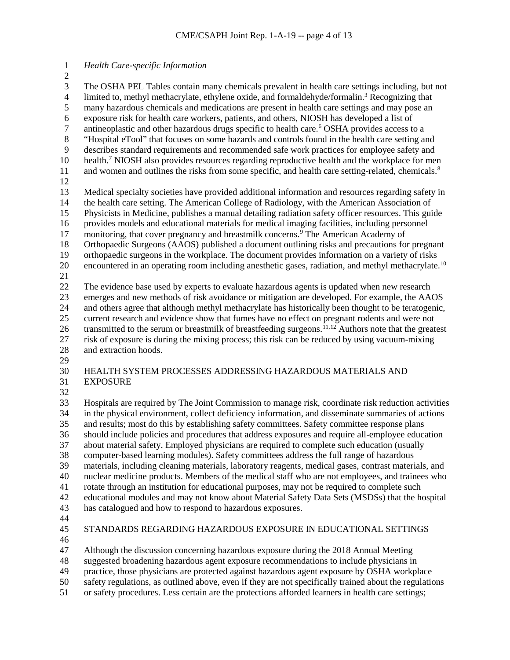# <span id="page-4-4"></span><span id="page-4-3"></span><span id="page-4-2"></span><span id="page-4-1"></span><span id="page-4-0"></span> *Health Care-specific Information* 3 The OSHA PEL Tables contain many chemicals prevalent in health care settings including, but not<br>4 limited to, methyl methacrylate, ethylene oxide, and formaldehyde/formalin.<sup>3</sup> Recognizing that 4 limited to, methyl methacrylate, ethylene oxide, and formaldehyde/formalin.<sup>3</sup> Recognizing that many hazardous chemicals and medications are present in health care settings and may pose an 6 exposure risk for health care workers, patients, and others, NIOSH has developed a list of antineoplastic and other hazardous drugs specific to health care.<sup>6</sup> OSHA provides access to antineoplastic and other hazardous drugs specific to health care.<sup>[6](#page-3-5)</sup> OSHA provides access to a "Hospital eTool" that focuses on some hazards and controls found in the health care setting and describes standard requirements and recommended safe work practices for employee safety and 10 health.<sup>[7](#page-3-6)</sup> NIOSH also provides resources regarding reproductive health and the workplace for men 11 and women and outlines the risks from some specific, and health care setting-related, chemicals.<sup>[8](#page-3-7)</sup> Medical specialty societies have provided additional information and resources regarding safety in the health care setting. The American College of Radiology, with the American Association of Physicists in Medicine, publishes a manual detailing radiation safety officer resources. This guide provides models and educational materials for medical imaging facilities, including personnel 17 monitoring, that cover pregnancy and breastmilk concerns.<sup>[9](#page-3-8)</sup> The American Academy of Orthopaedic Surgeons (AAOS) published a document outlining risks and precautions for pregnant orthopaedic surgeons in the workplace. The document provides information on a variety of risks 20 encountered in an operating room including anesthetic gases, radiation, and methyl methacrylate.<sup>[10](#page-3-9)</sup> The evidence base used by experts to evaluate hazardous agents is updated when new research 23 emerges and new methods of risk avoidance or mitigation are developed. For example, the AAOS<br>24 and others agree that although methyl methacrylate has historically been thought to be teratogenic. and others agree that although methyl methacrylate has historically been thought to be teratogenic, current research and evidence show that fumes have no effect on pregnant rodents and were not 26 transmitted to the serum or breastmilk of breastfeeding surgeons.<sup>[11,](#page-3-10)[12](#page-3-11)</sup> Authors note that the greatest risk of exposure is during the mixing process; this risk can be reduced by using vacuum-mixing and extraction hoods. HEALTH SYSTEM PROCESSES ADDRESSING HAZARDOUS MATERIALS AND EXPOSURE Hospitals are required by The Joint Commission to manage risk, coordinate risk reduction activities in the physical environment, collect deficiency information, and disseminate summaries of actions and results; most do this by establishing safety committees. Safety committee response plans should include policies and procedures that address exposures and require all-employee education about material safety. Employed physicians are required to complete such education (usually computer-based learning modules). Safety committees address the full range of hazardous materials, including cleaning materials, laboratory reagents, medical gases, contrast materials, and nuclear medicine products. Members of the medical staff who are not employees, and trainees who rotate through an institution for educational purposes, may not be required to complete such educational modules and may not know about Material Safety Data Sets (MSDSs) that the hospital has catalogued and how to respond to hazardous exposures. STANDARDS REGARDING HAZARDOUS EXPOSURE IN EDUCATIONAL SETTINGS

Although the discussion concerning hazardous exposure during the 2018 Annual Meeting

suggested broadening hazardous agent exposure recommendations to include physicians in

practice, those physicians are protected against hazardous agent exposure by OSHA workplace

safety regulations, as outlined above, even if they are not specifically trained about the regulations

or safety procedures. Less certain are the protections afforded learners in health care settings;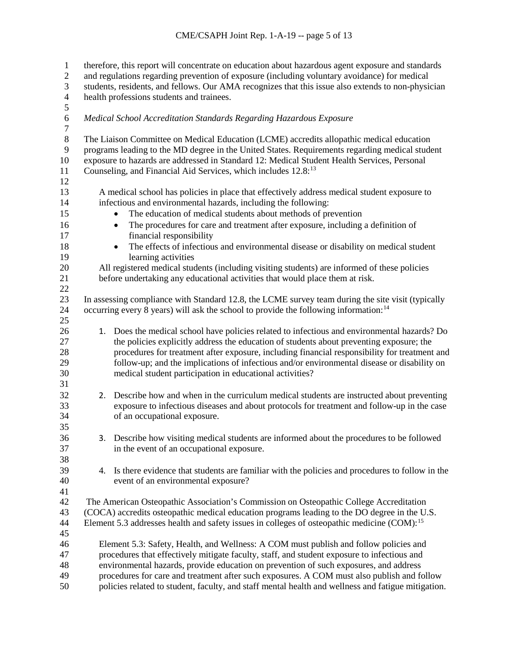| $\mathbf{1}$     |                                                                                              | therefore, this report will concentrate on education about hazardous agent exposure and standards       |  |  |  |
|------------------|----------------------------------------------------------------------------------------------|---------------------------------------------------------------------------------------------------------|--|--|--|
| $\mathbf{2}$     | and regulations regarding prevention of exposure (including voluntary avoidance) for medical |                                                                                                         |  |  |  |
| $\mathfrak{Z}$   |                                                                                              | students, residents, and fellows. Our AMA recognizes that this issue also extends to non-physician      |  |  |  |
| $\overline{4}$   |                                                                                              | health professions students and trainees.                                                               |  |  |  |
| 5                |                                                                                              |                                                                                                         |  |  |  |
| $\sqrt{6}$       |                                                                                              | Medical School Accreditation Standards Regarding Hazardous Exposure                                     |  |  |  |
| $\boldsymbol{7}$ |                                                                                              |                                                                                                         |  |  |  |
| $\,8\,$          |                                                                                              | The Liaison Committee on Medical Education (LCME) accredits allopathic medical education                |  |  |  |
| 9                |                                                                                              | programs leading to the MD degree in the United States. Requirements regarding medical student          |  |  |  |
| 10               |                                                                                              | exposure to hazards are addressed in Standard 12: Medical Student Health Services, Personal             |  |  |  |
| 11               |                                                                                              | Counseling, and Financial Aid Services, which includes 12.8:13                                          |  |  |  |
| 12               |                                                                                              |                                                                                                         |  |  |  |
| 13               |                                                                                              | A medical school has policies in place that effectively address medical student exposure to             |  |  |  |
| 14               |                                                                                              | infectious and environmental hazards, including the following:                                          |  |  |  |
| 15               |                                                                                              | The education of medical students about methods of prevention                                           |  |  |  |
| 16               |                                                                                              | The procedures for care and treatment after exposure, including a definition of<br>$\bullet$            |  |  |  |
| 17               |                                                                                              | financial responsibility                                                                                |  |  |  |
| 18               |                                                                                              | The effects of infectious and environmental disease or disability on medical student                    |  |  |  |
| 19               |                                                                                              | learning activities                                                                                     |  |  |  |
| 20               |                                                                                              | All registered medical students (including visiting students) are informed of these policies            |  |  |  |
| 21               |                                                                                              | before undertaking any educational activities that would place them at risk.                            |  |  |  |
| 22               |                                                                                              |                                                                                                         |  |  |  |
| 23               |                                                                                              | In assessing compliance with Standard 12.8, the LCME survey team during the site visit (typically       |  |  |  |
| 24               |                                                                                              | occurring every 8 years) will ask the school to provide the following information: <sup>14</sup>        |  |  |  |
| 25               |                                                                                              |                                                                                                         |  |  |  |
| 26               |                                                                                              | 1. Does the medical school have policies related to infectious and environmental hazards? Do            |  |  |  |
| 27               |                                                                                              | the policies explicitly address the education of students about preventing exposure; the                |  |  |  |
| 28               |                                                                                              | procedures for treatment after exposure, including financial responsibility for treatment and           |  |  |  |
| 29               |                                                                                              | follow-up; and the implications of infectious and/or environmental disease or disability on             |  |  |  |
| 30               |                                                                                              | medical student participation in educational activities?                                                |  |  |  |
| 31               |                                                                                              |                                                                                                         |  |  |  |
| 32               |                                                                                              | 2. Describe how and when in the curriculum medical students are instructed about preventing             |  |  |  |
| 33               |                                                                                              | exposure to infectious diseases and about protocols for treatment and follow-up in the case             |  |  |  |
| 34               |                                                                                              | of an occupational exposure.                                                                            |  |  |  |
| 35               |                                                                                              |                                                                                                         |  |  |  |
| 36               |                                                                                              | 3. Describe how visiting medical students are informed about the procedures to be followed              |  |  |  |
| 37               |                                                                                              | in the event of an occupational exposure.                                                               |  |  |  |
| 38               |                                                                                              |                                                                                                         |  |  |  |
| 39               | 4.                                                                                           | Is there evidence that students are familiar with the policies and procedures to follow in the          |  |  |  |
| 40               |                                                                                              | event of an environmental exposure?                                                                     |  |  |  |
| 41               |                                                                                              |                                                                                                         |  |  |  |
| 42               |                                                                                              | The American Osteopathic Association's Commission on Osteopathic College Accreditation                  |  |  |  |
| 43               |                                                                                              | (COCA) accredits osteopathic medical education programs leading to the DO degree in the U.S.            |  |  |  |
| 44               |                                                                                              | Element 5.3 addresses health and safety issues in colleges of osteopathic medicine (COM): <sup>15</sup> |  |  |  |
| 45               |                                                                                              |                                                                                                         |  |  |  |
| 46               |                                                                                              | Element 5.3: Safety, Health, and Wellness: A COM must publish and follow policies and                   |  |  |  |
| 47               | procedures that effectively mitigate faculty, staff, and student exposure to infectious and  |                                                                                                         |  |  |  |
| 48               | environmental hazards, provide education on prevention of such exposures, and address        |                                                                                                         |  |  |  |
| 49               |                                                                                              | procedures for care and treatment after such exposures. A COM must also publish and follow              |  |  |  |
| 50               |                                                                                              | policies related to student, faculty, and staff mental health and wellness and fatigue mitigation.      |  |  |  |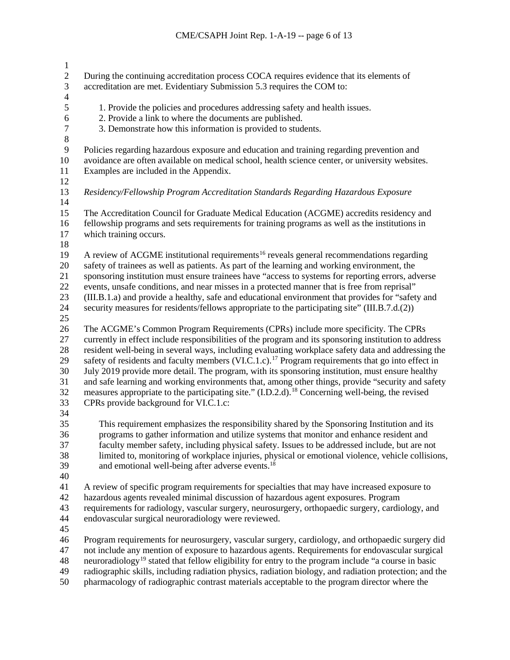| $\mathbf{1}$            |                                                                                                                 |
|-------------------------|-----------------------------------------------------------------------------------------------------------------|
| $\overline{c}$          | During the continuing accreditation process COCA requires evidence that its elements of                         |
| 3                       | accreditation are met. Evidentiary Submission 5.3 requires the COM to:                                          |
| $\overline{\mathbf{4}}$ |                                                                                                                 |
| 5                       | 1. Provide the policies and procedures addressing safety and health issues.                                     |
| $\sqrt{6}$              | 2. Provide a link to where the documents are published.                                                         |
| $\boldsymbol{7}$        | 3. Demonstrate how this information is provided to students.                                                    |
| $8\,$                   |                                                                                                                 |
| 9                       | Policies regarding hazardous exposure and education and training regarding prevention and                       |
| 10                      | avoidance are often available on medical school, health science center, or university websites.                 |
| 11                      | Examples are included in the Appendix.                                                                          |
| 12                      |                                                                                                                 |
| 13                      | Residency/Fellowship Program Accreditation Standards Regarding Hazardous Exposure                               |
| 14                      |                                                                                                                 |
| 15                      | The Accreditation Council for Graduate Medical Education (ACGME) accredits residency and                        |
| 16                      | fellowship programs and sets requirements for training programs as well as the institutions in                  |
| 17                      | which training occurs.                                                                                          |
| 18                      |                                                                                                                 |
| 19                      | A review of ACGME institutional requirements <sup>16</sup> reveals general recommendations regarding            |
| 20                      | safety of trainees as well as patients. As part of the learning and working environment, the                    |
| 21                      | sponsoring institution must ensure trainees have "access to systems for reporting errors, adverse               |
| 22                      | events, unsafe conditions, and near misses in a protected manner that is free from reprisal"                    |
| 23                      | (III.B.1.a) and provide a healthy, safe and educational environment that provides for "safety and               |
| 24                      | security measures for residents/fellows appropriate to the participating site" (III.B.7.d.(2))                  |
| 25                      |                                                                                                                 |
| 26                      | The ACGME's Common Program Requirements (CPRs) include more specificity. The CPRs                               |
| 27                      | currently in effect include responsibilities of the program and its sponsoring institution to address           |
| 28                      | resident well-being in several ways, including evaluating workplace safety data and addressing the              |
| 29                      | safety of residents and faculty members (VI.C.1.c). <sup>17</sup> Program requirements that go into effect in   |
| 30                      | July 2019 provide more detail. The program, with its sponsoring institution, must ensure healthy                |
| 31                      | and safe learning and working environments that, among other things, provide "security and safety               |
| 32                      | measures appropriate to the participating site." (I.D.2.d). <sup>18</sup> Concerning well-being, the revised    |
| 33                      | CPRs provide background for VI.C.1.c:                                                                           |
| 34                      |                                                                                                                 |
| 35                      | This requirement emphasizes the responsibility shared by the Sponsoring Institution and its                     |
| 36                      | programs to gather information and utilize systems that monitor and enhance resident and                        |
| 37                      | faculty member safety, including physical safety. Issues to be addressed include, but are not                   |
| 38                      | limited to, monitoring of workplace injuries, physical or emotional violence, vehicle collisions,               |
| 39                      | and emotional well-being after adverse events. <sup>18</sup>                                                    |
| 40                      |                                                                                                                 |
| 41                      | A review of specific program requirements for specialties that may have increased exposure to                   |
| 42                      | hazardous agents revealed minimal discussion of hazardous agent exposures. Program                              |
| 43                      | requirements for radiology, vascular surgery, neurosurgery, orthopaedic surgery, cardiology, and                |
| 44                      | endovascular surgical neuroradiology were reviewed.                                                             |
| 45                      |                                                                                                                 |
| 46                      | Program requirements for neurosurgery, vascular surgery, cardiology, and orthopaedic surgery did                |
| 47                      | not include any mention of exposure to hazardous agents. Requirements for endovascular surgical                 |
| 48                      | neuroradiology <sup>19</sup> stated that fellow eligibility for entry to the program include "a course in basic |
| 49                      | radiographic skills, including radiation physics, radiation biology, and radiation protection; and the          |

pharmacology of radiographic contrast materials acceptable to the program director where the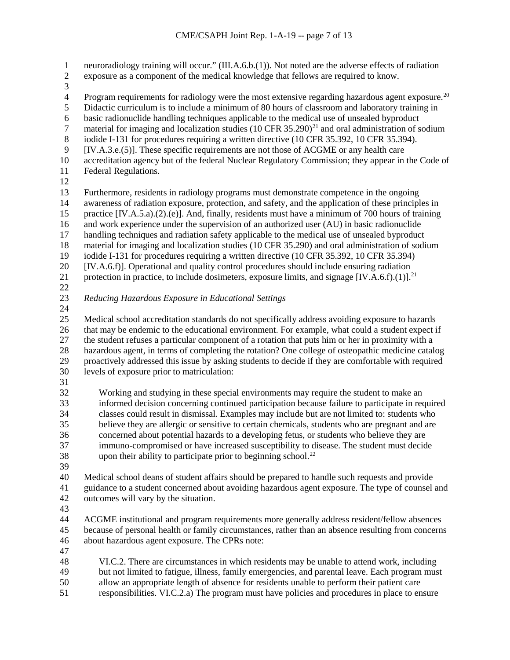1 neuroradiology training will occur." (III.A.6.b.(1)). Not noted are the adverse effects of radiation<br>2 exposure as a component of the medical knowledge that fellows are required to know. exposure as a component of the medical knowledge that fellows are required to know.  $\frac{3}{4}$ Program requirements for radiology were the most extensive regarding hazardous agent exposure.<sup>[20](#page-4-2)</sup><br>5 Didactic curriculum is to include a minimum of 80 hours of classroom and laboratory training in Didactic curriculum is to include a minimum of 80 hours of classroom and laboratory training in 6 basic radionuclide handling techniques applicable to the medical use of unsealed byproduct material for imaging and localization studies  $(10 \text{ CFR } 35.290)^{21}$  and oral administration of s material for imaging and localization studies  $(10 \text{ CFR } 35.290)^{21}$  $(10 \text{ CFR } 35.290)^{21}$  $(10 \text{ CFR } 35.290)^{21}$  and oral administration of sodium 8 iodide I-131 for procedures requiring a written directive (10 CFR 35.392, 10 CFR 35.394).<br>9 IIV.A.3.e.(5)]. These specific requirements are not those of ACGME or any health care  $[IV.A.3.e.(5)]$ . These specific requirements are not those of ACGME or any health care accreditation agency but of the federal Nuclear Regulatory Commission; they appear in the Code of Federal Regulations. Furthermore, residents in radiology programs must demonstrate competence in the ongoing awareness of radiation exposure, protection, and safety, and the application of these principles in practice [IV.A.5.a).(2).(e)]. And, finally, residents must have a minimum of 700 hours of training 16 and work experience under the supervision of an authorized user (AU) in basic radionuclide<br>17 handling techniques and radiation safety applicable to the medical use of unsealed byproduct handling techniques and radiation safety applicable to the medical use of unsealed byproduct material for imaging and localization studies (10 CFR 35.290) and oral administration of sodium iodide I-131 for procedures requiring a written directive (10 CFR 35.392, 10 CFR 35.394) [IV.A.6.f)]. Operational and quality control procedures should include ensuring radiation 21 protection in practice, to include dosimeters, exposure limits, and signage  $[IV.A.6.f)(1)]$ .<sup>21</sup> *Reducing Hazardous Exposure in Educational Settings* Medical school accreditation standards do not specifically address avoiding exposure to hazards that may be endemic to the educational environment. For example, what could a student expect if the student refuses a particular component of a rotation that puts him or her in proximity with a hazardous agent, in terms of completing the rotation? One college of osteopathic medicine catalog proactively addressed this issue by asking students to decide if they are comfortable with required levels of exposure prior to matriculation: Working and studying in these special environments may require the student to make an informed decision concerning continued participation because failure to participate in required classes could result in dismissal. Examples may include but are not limited to: students who believe they are allergic or sensitive to certain chemicals, students who are pregnant and are concerned about potential hazards to a developing fetus, or students who believe they are immuno-compromised or have increased susceptibility to disease. The student must decide 38 upon their ability to participate prior to beginning school.<sup>[22](#page-4-4)</sup> Medical school deans of student affairs should be prepared to handle such requests and provide guidance to a student concerned about avoiding hazardous agent exposure. The type of counsel and outcomes will vary by the situation. ACGME institutional and program requirements more generally address resident/fellow absences because of personal health or family circumstances, rather than an absence resulting from concerns about hazardous agent exposure. The CPRs note: VI.C.2. There are circumstances in which residents may be unable to attend work, including but not limited to fatigue, illness, family emergencies, and parental leave. Each program must allow an appropriate length of absence for residents unable to perform their patient care

responsibilities. VI.C.2.a) The program must have policies and procedures in place to ensure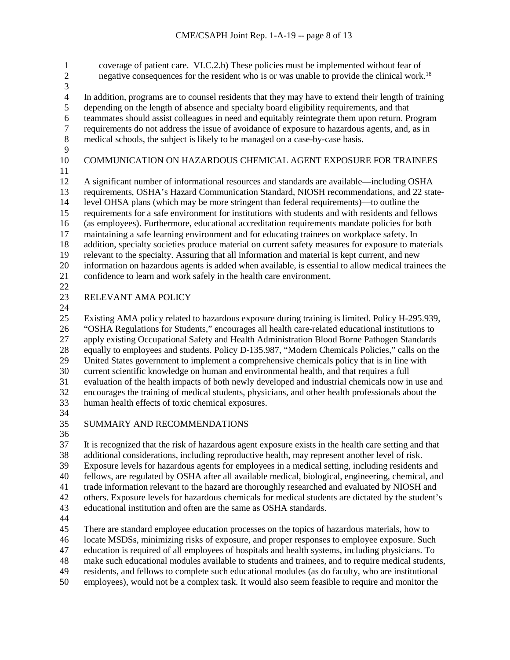1 coverage of patient care. VI.C.2.b) These policies must be implemented without fear of<br>2 energative consequences for the resident who is or was unable to provide the clinical work negative consequences for the resident who is or was unable to provide the clinical work.<sup>18</sup>  $\frac{3}{4}$ 4 In addition, programs are to counsel residents that they may have to extend their length of training depending on the length of absence and specialty board eligibility requirements, and that depending on the length of absence and specialty board eligibility requirements, and that 6 teammates should assist colleagues in need and equitably reintegrate them upon return. Program<br>7 requirements do not address the issue of avoidance of exposure to hazardous agents, and, as in requirements do not address the issue of avoidance of exposure to hazardous agents, and, as in medical schools, the subject is likely to be managed on a case-by-case basis. COMMUNICATION ON HAZARDOUS CHEMICAL AGENT EXPOSURE FOR TRAINEES A significant number of informational resources and standards are available—including OSHA requirements, OSHA's Hazard Communication Standard, NIOSH recommendations, and 22 state- level OHSA plans (which may be more stringent than federal requirements)—to outline the requirements for a safe environment for institutions with students and with residents and fellows (as employees). Furthermore, educational accreditation requirements mandate policies for both maintaining a safe learning environment and for educating trainees on workplace safety. In addition, specialty societies produce material on current safety measures for exposure to materials relevant to the specialty. Assuring that all information and material is kept current, and new information on hazardous agents is added when available, is essential to allow medical trainees the confidence to learn and work safely in the health care environment. RELEVANT AMA POLICY Existing AMA policy related to hazardous exposure during training is limited. Policy H-295.939, "OSHA Regulations for Students," encourages all health care-related educational institutions to apply existing Occupational Safety and Health Administration Blood Borne Pathogen Standards equally to employees and students. Policy D-135.987, "Modern Chemicals Policies," calls on the United States government to implement a comprehensive chemicals policy that is in line with current scientific knowledge on human and environmental health, and that requires a full evaluation of the health impacts of both newly developed and industrial chemicals now in use and encourages the training of medical students, physicians, and other health professionals about the human health effects of toxic chemical exposures. SUMMARY AND RECOMMENDATIONS It is recognized that the risk of hazardous agent exposure exists in the health care setting and that additional considerations, including reproductive health, may represent another level of risk. Exposure levels for hazardous agents for employees in a medical setting, including residents and fellows, are regulated by OSHA after all available medical, biological, engineering, chemical, and trade information relevant to the hazard are thoroughly researched and evaluated by NIOSH and others. Exposure levels for hazardous chemicals for medical students are dictated by the student's educational institution and often are the same as OSHA standards. There are standard employee education processes on the topics of hazardous materials, how to locate MSDSs, minimizing risks of exposure, and proper responses to employee exposure. Such

education is required of all employees of hospitals and health systems, including physicians. To

- make such educational modules available to students and trainees, and to require medical students,
- residents, and fellows to complete such educational modules (as do faculty, who are institutional
- employees), would not be a complex task. It would also seem feasible to require and monitor the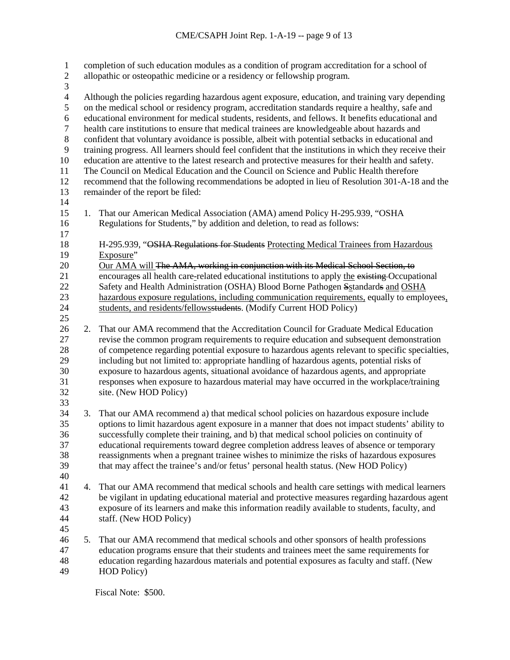| $\mathbf{1}$<br>$\overline{c}$<br>3          |                                                                                                                                                                                                                                                                                                                                                                                                          | completion of such education modules as a condition of program accreditation for a school of<br>allopathic or osteopathic medicine or a residency or fellowship program.                                                                                                             |  |
|----------------------------------------------|----------------------------------------------------------------------------------------------------------------------------------------------------------------------------------------------------------------------------------------------------------------------------------------------------------------------------------------------------------------------------------------------------------|--------------------------------------------------------------------------------------------------------------------------------------------------------------------------------------------------------------------------------------------------------------------------------------|--|
| $\overline{4}$<br>5<br>6<br>$\boldsymbol{7}$ | Although the policies regarding hazardous agent exposure, education, and training vary depending<br>on the medical school or residency program, accreditation standards require a healthy, safe and<br>educational environment for medical students, residents, and fellows. It benefits educational and<br>health care institutions to ensure that medical trainees are knowledgeable about hazards and |                                                                                                                                                                                                                                                                                      |  |
| $\,$ 8 $\,$                                  |                                                                                                                                                                                                                                                                                                                                                                                                          | confident that voluntary avoidance is possible, albeit with potential setbacks in educational and                                                                                                                                                                                    |  |
| 9                                            | training progress. All learners should feel confident that the institutions in which they receive their                                                                                                                                                                                                                                                                                                  |                                                                                                                                                                                                                                                                                      |  |
| 10                                           |                                                                                                                                                                                                                                                                                                                                                                                                          | education are attentive to the latest research and protective measures for their health and safety.                                                                                                                                                                                  |  |
| 11                                           |                                                                                                                                                                                                                                                                                                                                                                                                          | The Council on Medical Education and the Council on Science and Public Health therefore                                                                                                                                                                                              |  |
| 12<br>13                                     |                                                                                                                                                                                                                                                                                                                                                                                                          | recommend that the following recommendations be adopted in lieu of Resolution 301-A-18 and the                                                                                                                                                                                       |  |
| 14                                           |                                                                                                                                                                                                                                                                                                                                                                                                          | remainder of the report be filed:                                                                                                                                                                                                                                                    |  |
| 15<br>16                                     | 1.                                                                                                                                                                                                                                                                                                                                                                                                       | That our American Medical Association (AMA) amend Policy H-295.939, "OSHA<br>Regulations for Students," by addition and deletion, to read as follows:                                                                                                                                |  |
| 17                                           |                                                                                                                                                                                                                                                                                                                                                                                                          |                                                                                                                                                                                                                                                                                      |  |
| 18                                           |                                                                                                                                                                                                                                                                                                                                                                                                          | H-295.939, "OSHA Regulations for Students Protecting Medical Trainees from Hazardous                                                                                                                                                                                                 |  |
| 19                                           |                                                                                                                                                                                                                                                                                                                                                                                                          | Exposure"                                                                                                                                                                                                                                                                            |  |
| 20                                           |                                                                                                                                                                                                                                                                                                                                                                                                          | Our AMA will The AMA, working in conjunction with its Medical School Section, to                                                                                                                                                                                                     |  |
| 21                                           |                                                                                                                                                                                                                                                                                                                                                                                                          | encourages all health care-related educational institutions to apply the existing-Occupational                                                                                                                                                                                       |  |
| 22                                           |                                                                                                                                                                                                                                                                                                                                                                                                          | Safety and Health Administration (OSHA) Blood Borne Pathogen Sstandards and OSHA                                                                                                                                                                                                     |  |
| 23                                           |                                                                                                                                                                                                                                                                                                                                                                                                          | hazardous exposure regulations, including communication requirements, equally to employees,                                                                                                                                                                                          |  |
| 24                                           |                                                                                                                                                                                                                                                                                                                                                                                                          | students, and residents/fellowsstudents. (Modify Current HOD Policy)                                                                                                                                                                                                                 |  |
| 25                                           |                                                                                                                                                                                                                                                                                                                                                                                                          |                                                                                                                                                                                                                                                                                      |  |
| 26<br>27<br>28                               | 2.                                                                                                                                                                                                                                                                                                                                                                                                       | That our AMA recommend that the Accreditation Council for Graduate Medical Education<br>revise the common program requirements to require education and subsequent demonstration<br>of competence regarding potential exposure to hazardous agents relevant to specific specialties, |  |
| 29<br>30                                     |                                                                                                                                                                                                                                                                                                                                                                                                          | including but not limited to: appropriate handling of hazardous agents, potential risks of<br>exposure to hazardous agents, situational avoidance of hazardous agents, and appropriate                                                                                               |  |
| 31                                           |                                                                                                                                                                                                                                                                                                                                                                                                          | responses when exposure to hazardous material may have occurred in the workplace/training                                                                                                                                                                                            |  |
| 32                                           |                                                                                                                                                                                                                                                                                                                                                                                                          | site. (New HOD Policy)                                                                                                                                                                                                                                                               |  |
| 33                                           |                                                                                                                                                                                                                                                                                                                                                                                                          |                                                                                                                                                                                                                                                                                      |  |
| 34                                           | 3.                                                                                                                                                                                                                                                                                                                                                                                                       | That our AMA recommend a) that medical school policies on hazardous exposure include                                                                                                                                                                                                 |  |
| 35                                           |                                                                                                                                                                                                                                                                                                                                                                                                          | options to limit hazardous agent exposure in a manner that does not impact students' ability to                                                                                                                                                                                      |  |
| 36                                           |                                                                                                                                                                                                                                                                                                                                                                                                          | successfully complete their training, and b) that medical school policies on continuity of                                                                                                                                                                                           |  |
| 37                                           |                                                                                                                                                                                                                                                                                                                                                                                                          | educational requirements toward degree completion address leaves of absence or temporary                                                                                                                                                                                             |  |
| 38                                           |                                                                                                                                                                                                                                                                                                                                                                                                          | reassignments when a pregnant trainee wishes to minimize the risks of hazardous exposures                                                                                                                                                                                            |  |
| 39                                           |                                                                                                                                                                                                                                                                                                                                                                                                          | that may affect the trainee's and/or fetus' personal health status. (New HOD Policy)                                                                                                                                                                                                 |  |
| 40                                           |                                                                                                                                                                                                                                                                                                                                                                                                          |                                                                                                                                                                                                                                                                                      |  |
| 41                                           | 4.                                                                                                                                                                                                                                                                                                                                                                                                       | That our AMA recommend that medical schools and health care settings with medical learners                                                                                                                                                                                           |  |
| 42                                           |                                                                                                                                                                                                                                                                                                                                                                                                          | be vigilant in updating educational material and protective measures regarding hazardous agent                                                                                                                                                                                       |  |
| 43                                           |                                                                                                                                                                                                                                                                                                                                                                                                          | exposure of its learners and make this information readily available to students, faculty, and                                                                                                                                                                                       |  |
| 44                                           |                                                                                                                                                                                                                                                                                                                                                                                                          | staff. (New HOD Policy)                                                                                                                                                                                                                                                              |  |
| 45                                           |                                                                                                                                                                                                                                                                                                                                                                                                          |                                                                                                                                                                                                                                                                                      |  |
| 46                                           | 5.                                                                                                                                                                                                                                                                                                                                                                                                       | That our AMA recommend that medical schools and other sponsors of health professions                                                                                                                                                                                                 |  |
| 47                                           |                                                                                                                                                                                                                                                                                                                                                                                                          | education programs ensure that their students and trainees meet the same requirements for                                                                                                                                                                                            |  |
| 48                                           |                                                                                                                                                                                                                                                                                                                                                                                                          | education regarding hazardous materials and potential exposures as faculty and staff. (New                                                                                                                                                                                           |  |
| 49                                           |                                                                                                                                                                                                                                                                                                                                                                                                          | <b>HOD</b> Policy)                                                                                                                                                                                                                                                                   |  |

Fiscal Note: \$500.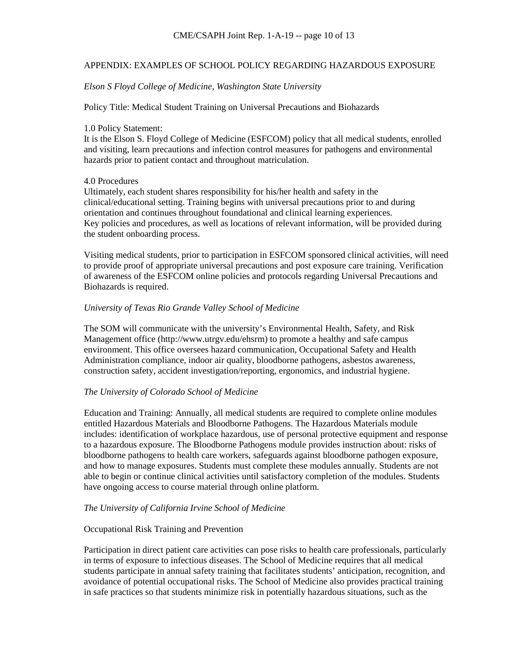## APPENDIX: EXAMPLES OF SCHOOL POLICY REGARDING HAZARDOUS EXPOSURE

## *Elson S Floyd College of Medicine, Washington State University*

## Policy Title: Medical Student Training on Universal Precautions and Biohazards

#### 1.0 Policy Statement:

It is the Elson S. Floyd College of Medicine (ESFCOM) policy that all medical students, enrolled and visiting, learn precautions and infection control measures for pathogens and environmental hazards prior to patient contact and throughout matriculation.

### 4.0 Procedures

Ultimately, each student shares responsibility for his/her health and safety in the clinical/educational setting. Training begins with universal precautions prior to and during orientation and continues throughout foundational and clinical learning experiences. Key policies and procedures, as well as locations of relevant information, will be provided during the student onboarding process.

Visiting medical students, prior to participation in ESFCOM sponsored clinical activities, will need to provide proof of appropriate universal precautions and post exposure care training. Verification of awareness of the ESFCOM online policies and protocols regarding Universal Precautions and Biohazards is required.

#### *University of Texas Rio Grande Valley School of Medicine*

The SOM will communicate with the university's Environmental Health, Safety, and Risk Management office (http://www.utrgv.edu/ehsrm) to promote a healthy and safe campus environment. This office oversees hazard communication, Occupational Safety and Health Administration compliance, indoor air quality, bloodborne pathogens, asbestos awareness, construction safety, accident investigation/reporting, ergonomics, and industrial hygiene.

#### *The University of Colorado School of Medicine*

Education and Training: Annually, all medical students are required to complete online modules entitled Hazardous Materials and Bloodborne Pathogens. The Hazardous Materials module includes: identification of workplace hazardous, use of personal protective equipment and response to a hazardous exposure. The Bloodborne Pathogens module provides instruction about: risks of bloodborne pathogens to health care workers, safeguards against bloodborne pathogen exposure, and how to manage exposures. Students must complete these modules annually. Students are not able to begin or continue clinical activities until satisfactory completion of the modules. Students have ongoing access to course material through online platform.

#### *The University of California Irvine School of Medicine*

### Occupational Risk Training and Prevention

Participation in direct patient care activities can pose risks to health care professionals, particularly in terms of exposure to infectious diseases. The School of Medicine requires that all medical students participate in annual safety training that facilitates students' anticipation, recognition, and avoidance of potential occupational risks. The School of Medicine also provides practical training in safe practices so that students minimize risk in potentially hazardous situations, such as the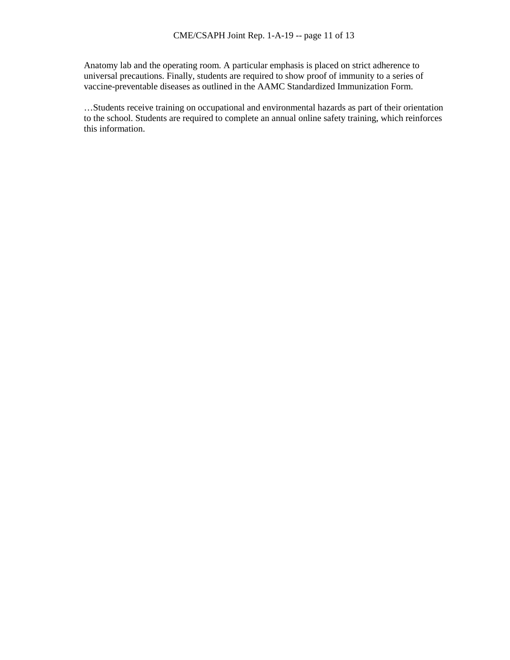Anatomy lab and the operating room. A particular emphasis is placed on strict adherence to universal precautions. Finally, students are required to show proof of immunity to a series of vaccine-preventable diseases as outlined in the AAMC Standardized Immunization Form.

…Students receive training on occupational and environmental hazards as part of their orientation to the school. Students are required to complete an annual online safety training, which reinforces this information.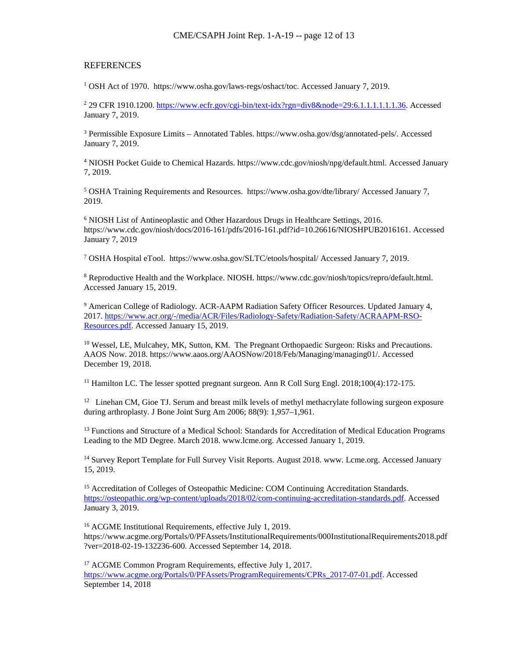#### REFERENCES

<sup>1</sup> OSH Act of 1970. https://www.osha.gov/laws-regs/oshact/toc. Accessed January 7, 2019.

<sup>2</sup> 29 CFR 1910.1200. [https://www.ecfr.gov/cgi-bin/text-idx?rgn=div8&node=29:6.1.1.1.1.1.1.36.](https://www.ecfr.gov/cgi-bin/text-idx?rgn=div8&node=29:6.1.1.1.1.1.1.36) Accessed January 7, 2019.

<sup>3</sup> Permissible Exposure Limits – Annotated Tables. https://www.osha.gov/dsg/annotated-pels/. Accessed January 7, 2019.

<sup>4</sup> NIOSH Pocket Guide to Chemical Hazards. https://www.cdc.gov/niosh/npg/default.html. Accessed January 7, 2019.

<sup>5</sup> OSHA Training Requirements and Resources. https://www.osha.gov/dte/library/ Accessed January 7, 2019.

<sup>6</sup> NIOSH List of Antineoplastic and Other Hazardous Drugs in Healthcare Settings, 2016. https://www.cdc.gov/niosh/docs/2016-161/pdfs/2016-161.pdf?id=10.26616/NIOSHPUB2016161. Accessed January 7, 2019

<sup>7</sup> OSHA Hospital eTool. https://www.osha.gov/SLTC/etools/hospital/ Accessed January 7, 2019.

<sup>8</sup> Reproductive Health and the Workplace. NIOSH. https://www.cdc.gov/niosh/topics/repro/default.html. Accessed January 15, 2019.

<sup>9</sup> American College of Radiology. ACR-AAPM Radiation Safety Officer Resources. Updated January 4, 2017. [https://www.acr.org/-/media/ACR/Files/Radiology-Safety/Radiation-Safety/ACRAAPM-RSO-](https://www.acr.org/-/media/ACR/Files/Radiology-Safety/Radiation-Safety/ACRAAPM-RSO-Resources.pdf)[Resources.pdf.](https://www.acr.org/-/media/ACR/Files/Radiology-Safety/Radiation-Safety/ACRAAPM-RSO-Resources.pdf) Accessed January 15, 2019.

<sup>10</sup> Wessel, LE, Mulcahey, MK, Sutton, KM. The Pregnant Orthopaedic Surgeon: Risks and Precautions. AAOS Now. 2018. https://www.aaos.org/AAOSNow/2018/Feb/Managing/managing01/. Accessed December 19, 2018.

<sup>11</sup> Hamilton LC. The lesser spotted pregnant surgeon. Ann R Coll Surg Engl. 2018;100(4):172-175.

 $12$  Linehan CM, Gioe TJ. Serum and breast milk levels of methyl methacrylate following surgeon exposure during arthroplasty. J Bone Joint Surg Am 2006; 88(9): 1,957–1,961.

<sup>13</sup> Functions and Structure of a Medical School: Standards for Accreditation of Medical Education Programs Leading to the MD Degree. March 2018. www.lcme.org. Accessed January 1, 2019.

<sup>14</sup> Survey Report Template for Full Survey Visit Reports. August 2018. www. Lcme.org. Accessed January 15, 2019.

<sup>15</sup> Accreditation of Colleges of Osteopathic Medicine: COM Continuing Accreditation Standards. [https://osteopathic.org/wp-content/uploads/2018/02/com-continuing-accreditation-standards.pdf.](https://osteopathic.org/wp-content/uploads/2018/02/com-continuing-accreditation-standards.pdf) Accessed January 3, 2019.

<sup>16</sup> ACGME Institutional Requirements, effective July 1, 2019. https://www.acgme.org/Portals/0/PFAssets/InstitutionalRequirements/000InstitutionalRequirements2018.pdf ?ver=2018-02-19-132236-600. Accessed September 14, 2018.

<sup>17</sup> ACGME Common Program Requirements, effective July 1, 2017. [https://www.acgme.org/Portals/0/PFAssets/ProgramRequirements/CPRs\\_2017-07-01.pdf.](https://www.acgme.org/Portals/0/PFAssets/ProgramRequirements/CPRs_2017-07-01.pdf) Accessed September 14, 2018